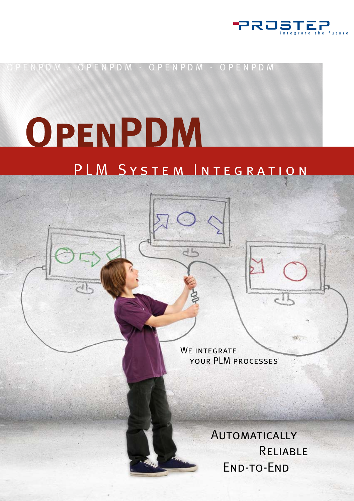

OPENPDM - OPENPDM - OPENPDM D M

# OPENPDM

### PLM System Integration

dh

WE INTEGRATE your PLM processes

> **AUTOMATICALLY**  Reliable End-to-End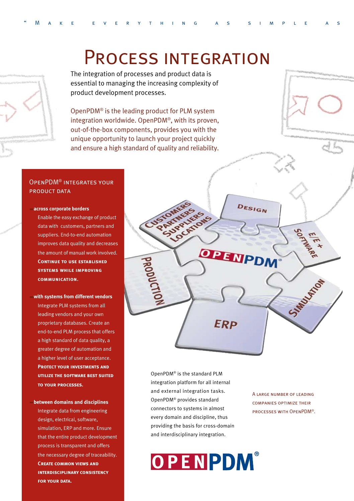

### Process integration

The integration of processes and product data is essential to managing the increasing complexity of product development processes.

OpenPDM® is the leading product for PLM system integration worldwide. OpenPDM®, with its proven, out-of-the-box components, provides you with the unique opportunity to launch your project quickly and ensure a high standard of quality and reliability.

#### OpenPDM® integrates your product data

#### **across corporate borders**

Enable the easy exchange of product data with customers, partners and suppliers. End-to-end automation improves data quality and decreases the amount of manual work involved. **CONTINUE TO USE ESTABLISHED systems while improving communication.**

#### **with systems from different vendors** Integrate PLM systems from all leading vendors and your own proprietary databases. Create an end-to-end PLM process that offers a high standard of data quality, a greater degree of automation and a higher level of user acceptance. **Protect your investments and utilize the software best suited to your processes.**

#### **between domains and disciplines** Integrate data from engineering design, electrical, software, simulation, ERP and more. Ensure that the entire product development process is transparent and offers the necessary degree of traceability. **Create common views and interdisciplinary consistency for your data.**

OpenPDM® is the standard PLM integration platform for all internal and external integration tasks. OpenPDM® provides standard connectors to systems in almost every domain and discipline, thus providing the basis for cross-domain and interdisciplinary integration.

## OPENPDM®

A large number of leading companies optimize their processes with OpenPDM®.

STARSUSEFOR

DESIGN

DPENPDI

**ERP**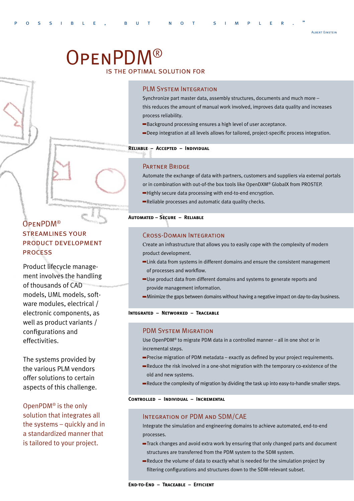# OpenPDM®

#### is the optimal solution for

#### PLM System Integration

Synchronize part master data, assembly structures, documents and much more – this reduces the amount of manual work involved, improves data quality and increases process reliability.

- Background processing ensures a high level of user acceptance.
- Deep integration at all levels allows for tailored, project-specific process integration.

#### **Reliable – Accepted – Individual**

#### Partner Bridge

Automate the exchange of data with partners, customers and suppliers via external portals or in combination with out-of-the box tools like OpenDXM® GlobalX from PROSTEP.

- Highly secure data processing with end-to-end encryption.
- Reliable processes and automatic data quality checks.

#### **Automated – Secure – Reliable**

#### Cross-Domain Integration

Create an infrastructure that allows you to easily cope with the complexity of modern product development.

- Link data from systems in different domains and ensure the consistent management of processes and workflow.
- Use product data from different domains and systems to generate reports and provide management information.
- Minimize the gaps between domains without having a negative impact on day-to-day business.

#### **Integrated – Networked – Traceable**

#### PDM System Migration

Use OpenPDM® to migrate PDM data in a controlled manner – all in one shot or in incremental steps.

- Precise migration of PDM metadata exactly as defined by your project requirements.
- Reduce the risk involved in a one-shot migration with the temporary co-existence of the old and new systems.
- Reduce the complexity of migration by dividing the task up into easy-to-handle smaller steps.

#### **Controlled – Individual – Incremental**

#### Integration of PDM and SDM/CAE

Integrate the simulation and engineering domains to achieve automated, end-to-end processes.

- Track changes and avoid extra work by ensuring that only changed parts and document structures are transferred from the PDM system to the SDM system.
- Reduce the volume of data to exactly what is needed for the simulation project by filtering configurations and structures down to the SDM-relevant subset.

#### OpenPDM® streamlines your product development process

Product lifecycle management involves the handling of thousands of CAD models, UML models, software modules, electrical / electronic components, as well as product variants / configurations and effectivities.

The systems provided by the various PLM vendors offer solutions to certain aspects of this challenge.

OpenPDM® is the only solution that integrates all the systems – quickly and in a standardized manner that is tailored to your project.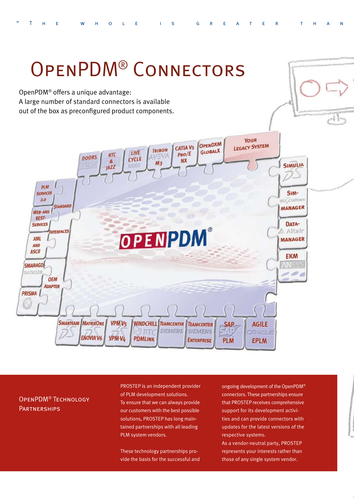

#### OpenPDM® Technology **PARTNERSHIPS**

PROSTEP is an independent provider of PLM development solutions. To ensure that we can always provide our customers with the best possible solutions, PROSTEP has long maintained partnerships with all leading PLM system vendors.

These technology partnerships provide the basis for the successful and ongoing development of the OpenPDM® connectors. These partnerships ensure that PROSTEP receives comprehensive support for its development activities and can provide connectors with updates for the latest versions of the respective systems.

As a vendor-neutral party, PROSTEP represents your interests rather than those of any single system vendor.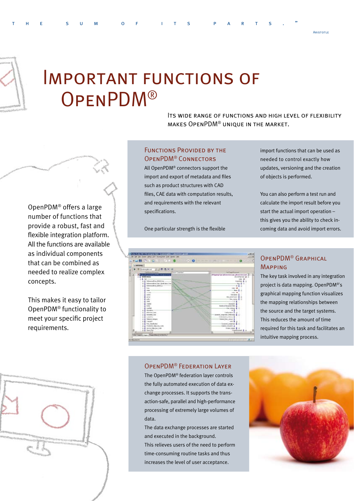

### Important functions of OpenPDM®

Its wide range of functions and high level of flexibility makes OpenPDM® unique in the market.

#### FUNCTIONS PROVIDED BY THE OpenPDM® Connectors

All OpenPDM® connectors support the import and export of metadata and files such as product structures with CAD files, CAE data with computation results, and requirements with the relevant specifications.

One particular strength is the flexible

import functions that can be used as needed to control exactly how updates, versioning and the creation of objects is performed.

You can also perform a test run and calculate the import result before you start the actual import operation – this gives you the ability to check incoming data and avoid import errors.



#### OpenPDM® Graphical Mapping

The key task involved in any integration project is data mapping. OpenPDM®'s graphical mapping function visualizes the mapping relationships between the source and the target systems. This reduces the amount of time required for this task and facilitates an intuitive mapping process.

#### OpenPDM® Federation Layer

The OpenPDM® federation layer controls the fully automated execution of data exchange processes. It supports the transaction-safe, parallel and high-performance processing of extremely large volumes of data.

The data exchange processes are started and executed in the background. This relieves users of the need to perform time-consuming routine tasks and thus increases the level of user acceptance.



OpenPDM® offers a large number of functions that provide a robust, fast and flexible integration platform. All the functions are available as individual components that can be combined as needed to realize complex concepts.

This makes it easy to tailor OpenPDM® functionality to meet your specific project requirements.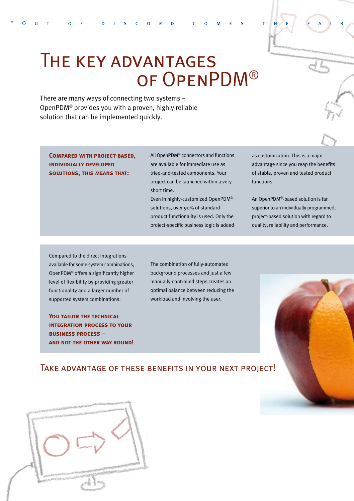

There are many ways of connecting two systems – OpenPDM® provides you with a proven, highly reliable solution that can be implemented quickly.

**Compared with project-based, individually developed solutions, this means that:**

All OpenPDM® connectors and functions are available for immediate use as tried-and-tested components. Your project can be launched within a very short time.

Even in highly-customized OpenPDM® solutions, over 90% of standard product functionality is used. Only the project-specific business logic is added as customization. This is a major advantage since you reap the benefits of stable, proven and tested product functions.

An OpenPDM®-based solution is far superior to an individually programmed, project-based solution with regard to quality, reliability and performance.

Compared to the direct integrations available for some system combinations, OpenPDM® offers a significantly higher level of flexibility by providing greater functionality and a larger number of supported system combinations.

You **TAILOR THE TECHNICAL integration process to your business process – and not the other way round!** The combination of fully-automated background processes and just a few manually-controlled steps creates an optimal balance between reducing the workload and involving the user.

#### Take advantage of these benefits in your next project!



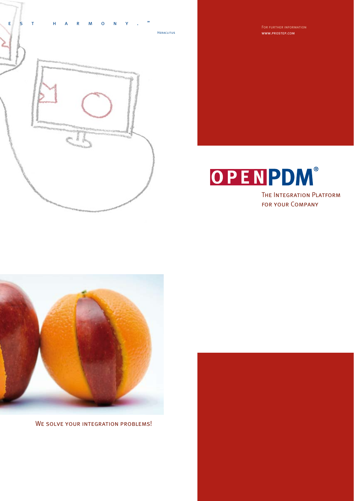

www.prostep.com





WE SOLVE YOUR INTEGRATION PROBLEMS!